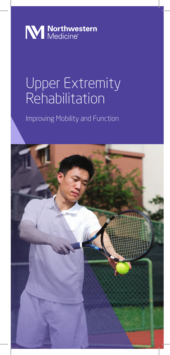

## Upper Extremity Rehabilitation

Improving Mobility and Function

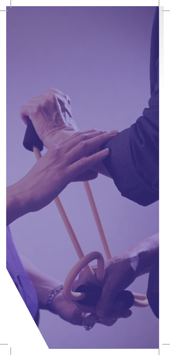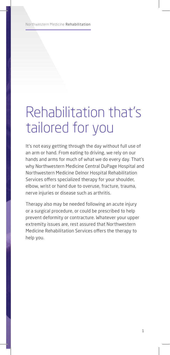# Rehabilitation that's tailored for you

It's not easy getting through the day without full use of an arm or hand. From eating to driving, we rely on our hands and arms for much of what we do every day. That's why Northwestern Medicine Central DuPage Hospital and Northwestern Medicine Delnor Hospital Rehabilitation Services offers specialized therapy for your shoulder, elbow, wrist or hand due to overuse, fracture, trauma, nerve injuries or disease such as arthritis.

Therapy also may be needed following an acute injury or a surgical procedure, or could be prescribed to help prevent deformity or contracture. Whatever your upper extremity issues are, rest assured that Northwestern Medicine Rehabilitation Services offers the therapy to help you.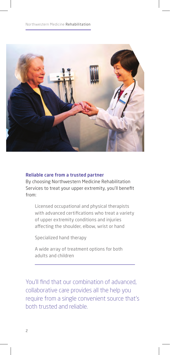

### Reliable care from a trusted partner

By choosing Northwestern Medicine Rehabilitation Services to treat your upper extremity, you'll benefit from:

Licensed occupational and physical therapists with advanced certifications who treat a variety of upper extremity conditions and injuries affecting the shoulder, elbow, wrist or hand

Specialized hand therapy

A wide array of treatment options for both adults and children

You'll find that our combination of advanced, collaborative care provides all the help you require from a single convenient source that's both trusted and reliable.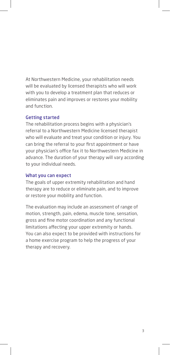At Northwestern Medicine, your rehabilitation needs will be evaluated by licensed therapists who will work with you to develop a treatment plan that reduces or eliminates pain and improves or restores your mobility and function.

### Getting started

The rehabilitation process begins with a physician's referral to a Northwestern Medicine licensed therapist who will evaluate and treat your condition or injury. You can bring the referral to your first appointment or have your physician's office fax it to Northwestern Medicine in advance. The duration of your therapy will vary according to your individual needs.

### What you can expect

The goals of upper extremity rehabilitation and hand therapy are to reduce or eliminate pain, and to improve or restore your mobility and function.

The evaluation may include an assessment of range of motion, strength, pain, edema, muscle tone, sensation, gross and fine motor coordination and any functional limitations affecting your upper extremity or hands. You can also expect to be provided with instructions for a home exercise program to help the progress of your therapy and recovery.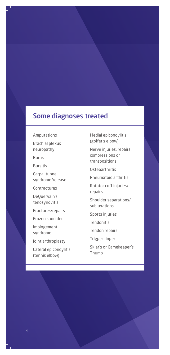## Some diagnoses treated

#### Amputations

Brachial plexus neuropathy

Burns

Bursitis

Carpal tunnel syndrome/release

Contractures

DeQuervain's tenosynovitis

Fractures/repairs

Frozen shoulder

Impingement syndrome

Joint arthroplasty

Lateral epicondylitis (tennis elbow)

Medial epicondylitis (golfer's elbow)

Nerve injuries, repairs, compressions or transpositions

**Osteoarthritis** 

Rheumatoid arthritis

Rotator cuff injuries/ repairs

Shoulder separations/ subluxations

Sports injuries

Tendonitis

Tendon repairs

Trigger finger

Skier's or Gamekeeper's Thumb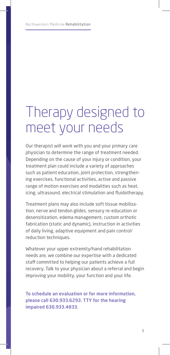# Therapy designed to meet your needs

Our therapist will work with you and your primary care physician to determine the range of treatment needed. Depending on the cause of your injury or condition, your treatment plan could include a variety of approaches such as patient education, joint protection, strengthening exercises, functional activities, active and passive range of motion exercises and modalities such as heat, icing, ultrasound, electrical stimulation and fluidotherapy.

Treatment plans may also include soft tissue mobilization, nerve and tendon glides, sensory re-education or desensitization, edema management, custom orthotic fabrication (static and dynamic), instruction in activities of daily living, adaptive equipment and pain control/ reduction techniques.

Whatever your upper extremity/hand rehabilitation needs are, we combine our expertise with a dedicated staff committed to helping our patients achieve a full recovery. Talk to your physician about a referral and begin improving your mobility, your function and your life.

To schedule an evaluation or for more information, please call 630.933.6293. TTY for the hearing impaired 630.933.4833.